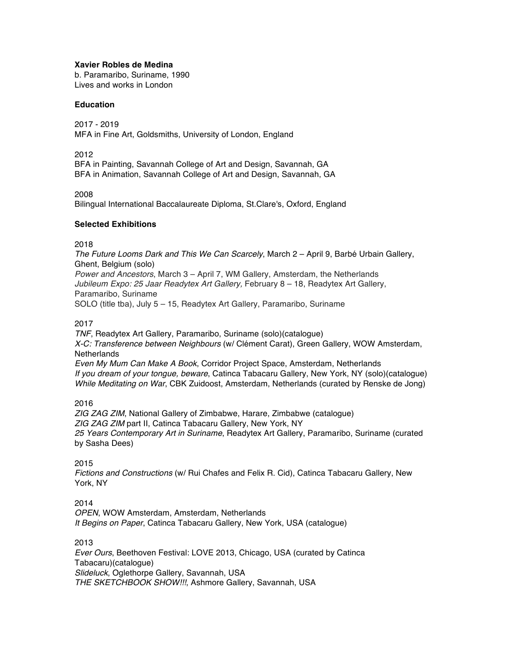### **Xavier Robles de Medina**

b. Paramaribo, Suriname, 1990 Lives and works in London

## **Education**

2017 - 2019 MFA in Fine Art, Goldsmiths, University of London, England

2012

BFA in Painting, Savannah College of Art and Design, Savannah, GA BFA in Animation, Savannah College of Art and Design, Savannah, GA

2008

Bilingual International Baccalaureate Diploma, St.Clare's, Oxford, England

## **Selected Exhibitions**

2018

*The Future Looms Dark and This We Can Scarcely*, March 2 – April 9, Barbé Urbain Gallery, Ghent, Belgium (solo) *Power and Ancestors*, March 3 – April 7, WM Gallery, Amsterdam, the Netherlands *Jubileum Expo: 25 Jaar Readytex Art Gallery,* February 8 – 18, Readytex Art Gallery, Paramaribo, Suriname

SOLO (title tba), July 5 – 15, Readytex Art Gallery, Paramaribo, Suriname

## 2017

*TNF*, Readytex Art Gallery, Paramaribo, Suriname (solo)(catalogue) *X-C: Transference between Neighbours* (w/ Clément Carat), Green Gallery, WOW Amsterdam, **Netherlands** *Even My Mum Can Make A Book*, Corridor Project Space, Amsterdam, Netherlands *If you dream of your tongue, beware*, Catinca Tabacaru Gallery, New York, NY (solo)(catalogue) *While Meditating on War*, CBK Zuidoost, Amsterdam, Netherlands (curated by Renske de Jong)

### 2016

*ZIG ZAG ZIM*, National Gallery of Zimbabwe, Harare, Zimbabwe (catalogue) *ZIG ZAG ZIM* part II, Catinca Tabacaru Gallery, New York, NY *25 Years Contemporary Art in Suriname*, Readytex Art Gallery, Paramaribo, Suriname (curated by Sasha Dees)

# 2015

*Fictions and Constructions* (w/ Rui Chafes and Felix R. Cid), Catinca Tabacaru Gallery, New York, NY

# 2014

*OPEN*, WOW Amsterdam, Amsterdam, Netherlands *It Begins on Paper*, Catinca Tabacaru Gallery, New York, USA (catalogue)

### 2013

*Ever Ours*, Beethoven Festival: LOVE 2013, Chicago, USA (curated by Catinca Tabacaru)(catalogue) *Slideluck*, Oglethorpe Gallery, Savannah, USA *THE SKETCHBOOK SHOW!!!*, Ashmore Gallery, Savannah, USA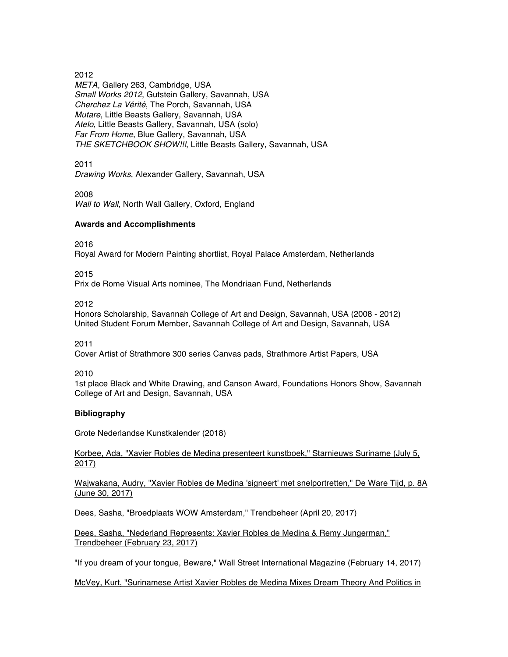2012

*META*, Gallery 263, Cambridge, USA *Small Works 2012*, Gutstein Gallery, Savannah, USA *Cherchez La Vérité*, The Porch, Savannah, USA *Mutare*, Little Beasts Gallery, Savannah, USA *Atelo*, Little Beasts Gallery, Savannah, USA (solo) *Far From Home*, Blue Gallery, Savannah, USA *THE SKETCHBOOK SHOW!!!*, Little Beasts Gallery, Savannah, USA

2011

*Drawing Works*, Alexander Gallery, Savannah, USA

2008

*Wall to Wall*, North Wall Gallery, Oxford, England

## **Awards and Accomplishments**

2016

Royal Award for Modern Painting shortlist, Royal Palace Amsterdam, Netherlands

2015

Prix de Rome Visual Arts nominee, The Mondriaan Fund, Netherlands

2012

Honors Scholarship, Savannah College of Art and Design, Savannah, USA (2008 - 2012) United Student Forum Member, Savannah College of Art and Design, Savannah, USA

2011

Cover Artist of Strathmore 300 series Canvas pads, Strathmore Artist Papers, USA

2010

1st place Black and White Drawing, and Canson Award, Foundations Honors Show, Savannah College of Art and Design, Savannah, USA

# **Bibliography**

Grote Nederlandse Kunstkalender (2018)

Korbee, Ada, "Xavier Robles de Medina presenteert kunstboek," Starnieuws Suriname (July 5, 2017)

Wajwakana, Audry, "Xavier Robles de Medina 'signeert' met snelportretten," De Ware Tijd, p. 8A (June 30, 2017)

Dees, Sasha, "Broedplaats WOW Amsterdam," Trendbeheer (April 20, 2017)

Dees, Sasha, "Nederland Represents: Xavier Robles de Medina & Remy Jungerman," Trendbeheer (February 23, 2017)

"If you dream of your tongue, Beware," Wall Street International Magazine (February 14, 2017)

McVey, Kurt, "Surinamese Artist Xavier Robles de Medina Mixes Dream Theory And Politics in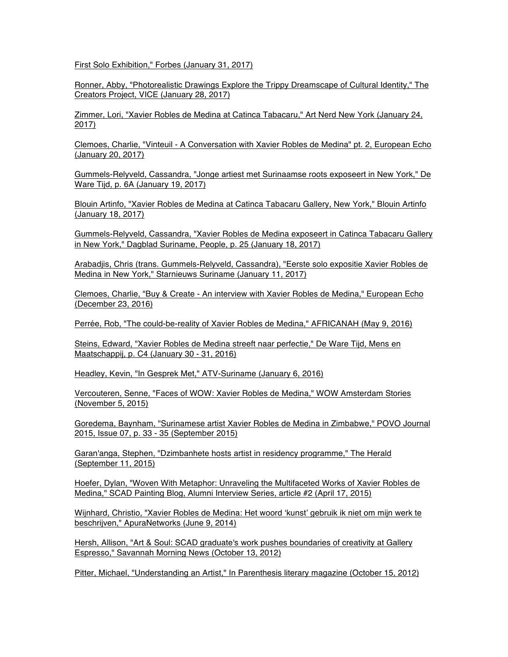First Solo Exhibition," Forbes (January 31, 2017)

Ronner, Abby, "Photorealistic Drawings Explore the Trippy Dreamscape of Cultural Identity," The Creators Project, VICE (January 28, 2017)

Zimmer, Lori, "Xavier Robles de Medina at Catinca Tabacaru," Art Nerd New York (January 24, 2017)

Clemoes, Charlie, "Vinteuil - A Conversation with Xavier Robles de Medina" pt. 2, European Echo (January 20, 2017)

Gummels-Relyveld, Cassandra, "Jonge artiest met Surinaamse roots exposeert in New York," De Ware Tijd, p. 6A (January 19, 2017)

Blouin Artinfo, "Xavier Robles de Medina at Catinca Tabacaru Gallery, New York," Blouin Artinfo (January 18, 2017)

Gummels-Relyveld, Cassandra, "Xavier Robles de Medina exposeert in Catinca Tabacaru Gallery in New York," Dagblad Suriname, People, p. 25 (January 18, 2017)

Arabadjis, Chris (trans. Gummels-Relyveld, Cassandra), "Eerste solo expositie Xavier Robles de Medina in New York," Starnieuws Suriname (January 11, 2017)

Clemoes, Charlie, "Buy & Create - An interview with Xavier Robles de Medina," European Echo (December 23, 2016)

Perrée, Rob, "The could-be-reality of Xavier Robles de Medina," AFRICANAH (May 9, 2016)

Steins, Edward, "Xavier Robles de Medina streeft naar perfectie," De Ware Tijd, Mens en Maatschappij, p. C4 (January 30 - 31, 2016)

Headley, Kevin, "In Gesprek Met," ATV-Suriname (January 6, 2016)

Vercouteren, Senne, "Faces of WOW: Xavier Robles de Medina," WOW Amsterdam Stories (November 5, 2015)

Goredema, Baynham, "Surinamese artist Xavier Robles de Medina in Zimbabwe," POVO Journal 2015, Issue 07, p. 33 - 35 (September 2015)

Garan'anga, Stephen, "Dzimbanhete hosts artist in residency programme," The Herald (September 11, 2015)

Hoefer, Dylan, "Woven With Metaphor: Unraveling the Multifaceted Works of Xavier Robles de Medina," SCAD Painting Blog, Alumni Interview Series, article #2 (April 17, 2015)

Wijnhard, Christio, "Xavier Robles de Medina: Het woord 'kunst' gebruik ik niet om mijn werk te beschrijven," ApuraNetworks (June 9, 2014)

Hersh, Allison, "Art & Soul: SCAD graduate's work pushes boundaries of creativity at Gallery Espresso," Savannah Morning News (October 13, 2012)

Pitter, Michael, "Understanding an Artist," In Parenthesis literary magazine (October 15, 2012)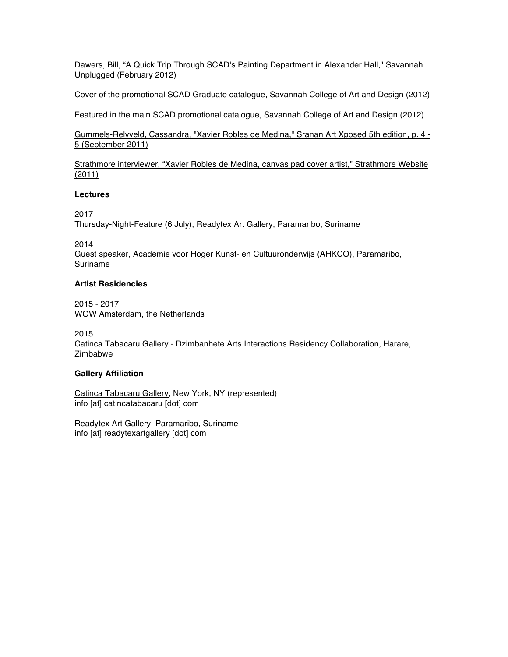Dawers, Bill, "A Quick Trip Through SCAD's Painting Department in Alexander Hall," Savannah Unplugged (February 2012)

Cover of the promotional SCAD Graduate catalogue, Savannah College of Art and Design (2012)

Featured in the main SCAD promotional catalogue, Savannah College of Art and Design (2012)

Gummels-Relyveld, Cassandra, "Xavier Robles de Medina," Sranan Art Xposed 5th edition, p. 4 - 5 (September 2011)

Strathmore interviewer, "Xavier Robles de Medina, canvas pad cover artist," Strathmore Website (2011)

### **Lectures**

2017

Thursday-Night-Feature (6 July), Readytex Art Gallery, Paramaribo, Suriname

2014

Guest speaker, Academie voor Hoger Kunst- en Cultuuronderwijs (AHKCO), Paramaribo, Suriname

### **Artist Residencies**

2015 - 2017 WOW Amsterdam, the Netherlands

2015

Catinca Tabacaru Gallery - Dzimbanhete Arts Interactions Residency Collaboration, Harare, **Zimbabwe** 

## **Gallery Affiliation**

Catinca Tabacaru Gallery, New York, NY (represented) info [at] catincatabacaru [dot] com

Readytex Art Gallery, Paramaribo, Suriname info [at] readytexartgallery [dot] com